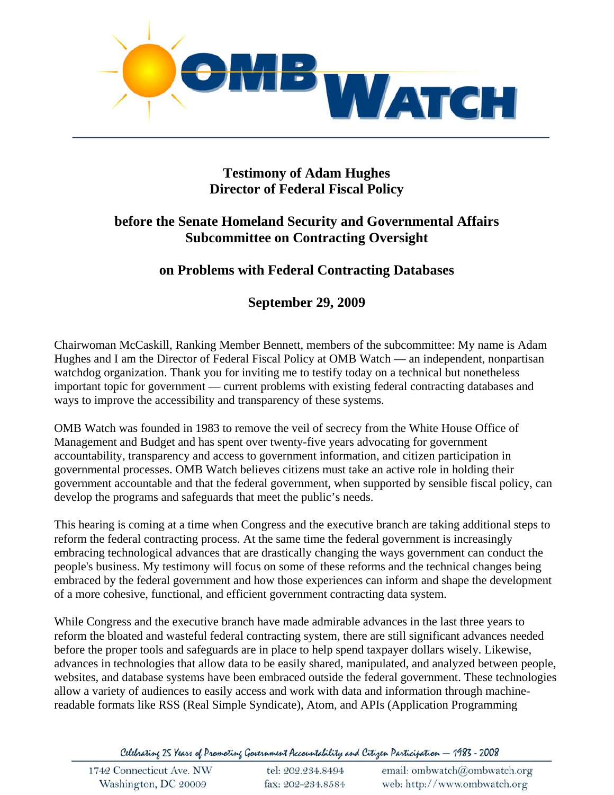

# **Testimony of Adam Hughes Director of Federal Fiscal Policy**

## **before the Senate Homeland Security and Governmental Affairs Subcommittee on Contracting Oversight**

# **on Problems with Federal Contracting Databases**

## **September 29, 2009**

Chairwoman McCaskill, Ranking Member Bennett, members of the subcommittee: My name is Adam Hughes and I am the Director of Federal Fiscal Policy at OMB Watch — an independent, nonpartisan watchdog organization. Thank you for inviting me to testify today on a technical but nonetheless important topic for government — current problems with existing federal contracting databases and ways to improve the accessibility and transparency of these systems.

OMB Watch was founded in 1983 to remove the veil of secrecy from the White House Office of Management and Budget and has spent over twenty-five years advocating for government accountability, transparency and access to government information, and citizen participation in governmental processes. OMB Watch believes citizens must take an active role in holding their government accountable and that the federal government, when supported by sensible fiscal policy, can develop the programs and safeguards that meet the public's needs.

This hearing is coming at a time when Congress and the executive branch are taking additional steps to reform the federal contracting process. At the same time the federal government is increasingly embracing technological advances that are drastically changing the ways government can conduct the people's business. My testimony will focus on some of these reforms and the technical changes being embraced by the federal government and how those experiences can inform and shape the development of a more cohesive, functional, and efficient government contracting data system.

While Congress and the executive branch have made admirable advances in the last three years to reform the bloated and wasteful federal contracting system, there are still significant advances needed before the proper tools and safeguards are in place to help spend taxpayer dollars wisely. Likewise, advances in technologies that allow data to be easily shared, manipulated, and analyzed between people, websites, and database systems have been embraced outside the federal government. These technologies allow a variety of audiences to easily access and work with data and information through machinereadable formats like RSS (Real Simple Syndicate), Atom, and APIs (Application Programming

Celebrating 25 Years of Promoting Government Accountability and Citizen Participation - 1983 - 2008

| 1742 Connecticut Ave. NW | tel: 202.234.8494 | email: ombwatch@ombwatch.org |
|--------------------------|-------------------|------------------------------|
| Washington, DC 20009     | fax: 202-234.8584 | web: http://www.ombwatch.org |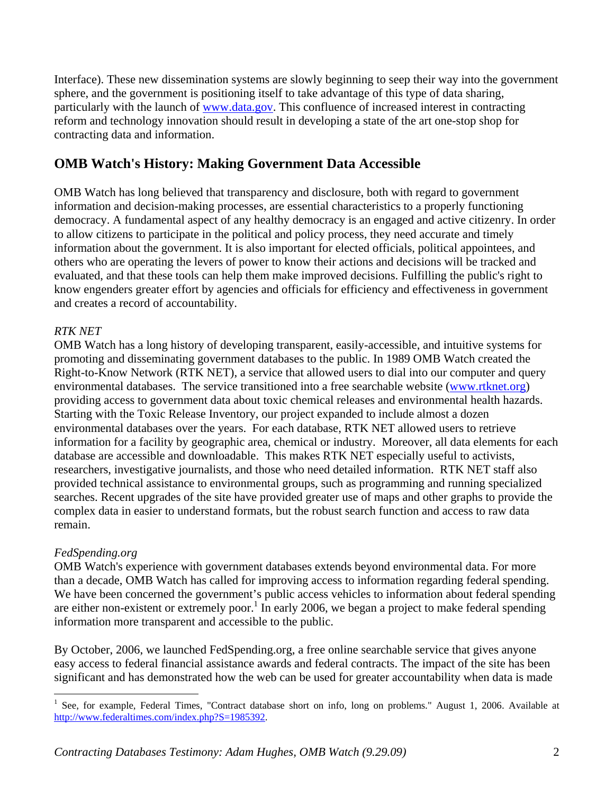Interface). These new dissemination systems are slowly beginning to seep their way into the government sphere, and the government is positioning itself to take advantage of this type of data sharing, particularly with the launch of www.data.gov. This confluence of increased interest in contracting reform and technology innovation should result in developing a state of the art one-stop shop for contracting data and information.

# **OMB Watch's History: Making Government Data Accessible**

OMB Watch has long believed that transparency and disclosure, both with regard to government information and decision-making processes, are essential characteristics to a properly functioning democracy. A fundamental aspect of any healthy democracy is an engaged and active citizenry. In order to allow citizens to participate in the political and policy process, they need accurate and timely information about the government. It is also important for elected officials, political appointees, and others who are operating the levers of power to know their actions and decisions will be tracked and evaluated, and that these tools can help them make improved decisions. Fulfilling the public's right to know engenders greater effort by agencies and officials for efficiency and effectiveness in government and creates a record of accountability.

### *RTK NET*

OMB Watch has a long history of developing transparent, easily-accessible, and intuitive systems for promoting and disseminating government databases to the public. In 1989 OMB Watch created the Right-to-Know Network (RTK NET), a service that allowed users to dial into our computer and query environmental databases. The service transitioned into a free searchable website (www.rtknet.org) providing access to government data about toxic chemical releases and environmental health hazards. Starting with the Toxic Release Inventory, our project expanded to include almost a dozen environmental databases over the years. For each database, RTK NET allowed users to retrieve information for a facility by geographic area, chemical or industry. Moreover, all data elements for each database are accessible and downloadable. This makes RTK NET especially useful to activists, researchers, investigative journalists, and those who need detailed information. RTK NET staff also provided technical assistance to environmental groups, such as programming and running specialized searches. Recent upgrades of the site have provided greater use of maps and other graphs to provide the complex data in easier to understand formats, but the robust search function and access to raw data remain.

### *FedSpending.org*

OMB Watch's experience with government databases extends beyond environmental data. For more than a decade, OMB Watch has called for improving access to information regarding federal spending. We have been concerned the government's public access vehicles to information about federal spending are either non-existent or extremely poor.<sup>1</sup> In early 2006, we began a project to make federal spending information more transparent and accessible to the public.

By October, 2006, we launched FedSpending.org, a free online searchable service that gives anyone easy access to federal financial assistance awards and federal contracts. The impact of the site has been significant and has demonstrated how the web can be used for greater accountability when data is made

<sup>1&</sup>lt;br>
<sup>1</sup> See, for example, Federal Times, "Contract database short on info, long on problems." August 1, 2006. Available at http://www.federaltimes.com/index.php?S=1985392.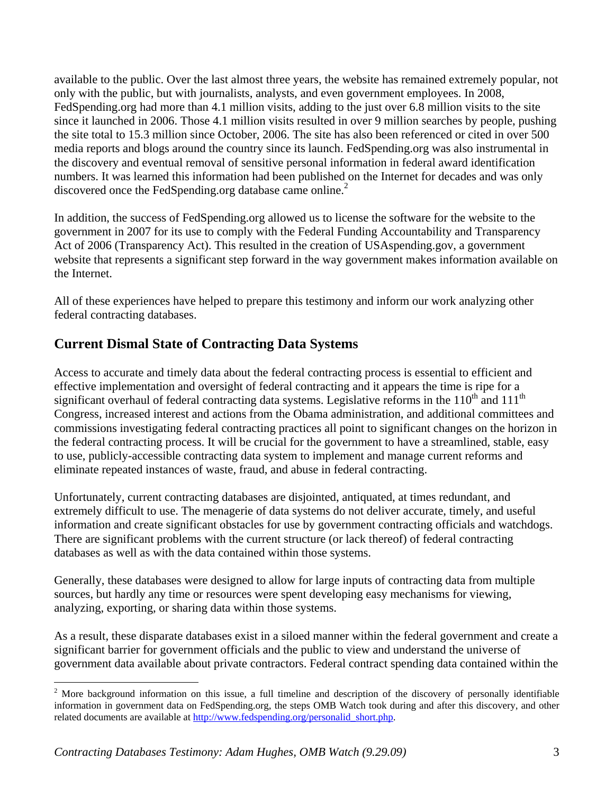available to the public. Over the last almost three years, the website has remained extremely popular, not only with the public, but with journalists, analysts, and even government employees. In 2008, FedSpending.org had more than 4.1 million visits, adding to the just over 6.8 million visits to the site since it launched in 2006. Those 4.1 million visits resulted in over 9 million searches by people, pushing the site total to 15.3 million since October, 2006. The site has also been referenced or cited in over 500 media reports and blogs around the country since its launch. FedSpending.org was also instrumental in the discovery and eventual removal of sensitive personal information in federal award identification numbers. It was learned this information had been published on the Internet for decades and was only discovered once the FedSpending.org database came online.<sup>2</sup>

In addition, the success of FedSpending.org allowed us to license the software for the website to the government in 2007 for its use to comply with the Federal Funding Accountability and Transparency Act of 2006 (Transparency Act). This resulted in the creation of USAspending.gov, a government website that represents a significant step forward in the way government makes information available on the Internet.

All of these experiences have helped to prepare this testimony and inform our work analyzing other federal contracting databases.

## **Current Dismal State of Contracting Data Systems**

Access to accurate and timely data about the federal contracting process is essential to efficient and effective implementation and oversight of federal contracting and it appears the time is ripe for a significant overhaul of federal contracting data systems. Legislative reforms in the  $110<sup>th</sup>$  and  $111<sup>th</sup>$ Congress, increased interest and actions from the Obama administration, and additional committees and commissions investigating federal contracting practices all point to significant changes on the horizon in the federal contracting process. It will be crucial for the government to have a streamlined, stable, easy to use, publicly-accessible contracting data system to implement and manage current reforms and eliminate repeated instances of waste, fraud, and abuse in federal contracting.

Unfortunately, current contracting databases are disjointed, antiquated, at times redundant, and extremely difficult to use. The menagerie of data systems do not deliver accurate, timely, and useful information and create significant obstacles for use by government contracting officials and watchdogs. There are significant problems with the current structure (or lack thereof) of federal contracting databases as well as with the data contained within those systems.

Generally, these databases were designed to allow for large inputs of contracting data from multiple sources, but hardly any time or resources were spent developing easy mechanisms for viewing, analyzing, exporting, or sharing data within those systems.

As a result, these disparate databases exist in a siloed manner within the federal government and create a significant barrier for government officials and the public to view and understand the universe of government data available about private contractors. Federal contract spending data contained within the

 $\overline{a}$ 

 $2$  More background information on this issue, a full timeline and description of the discovery of personally identifiable information in government data on FedSpending.org, the steps OMB Watch took during and after this discovery, and other related documents are available at http://www.fedspending.org/personalid\_short.php.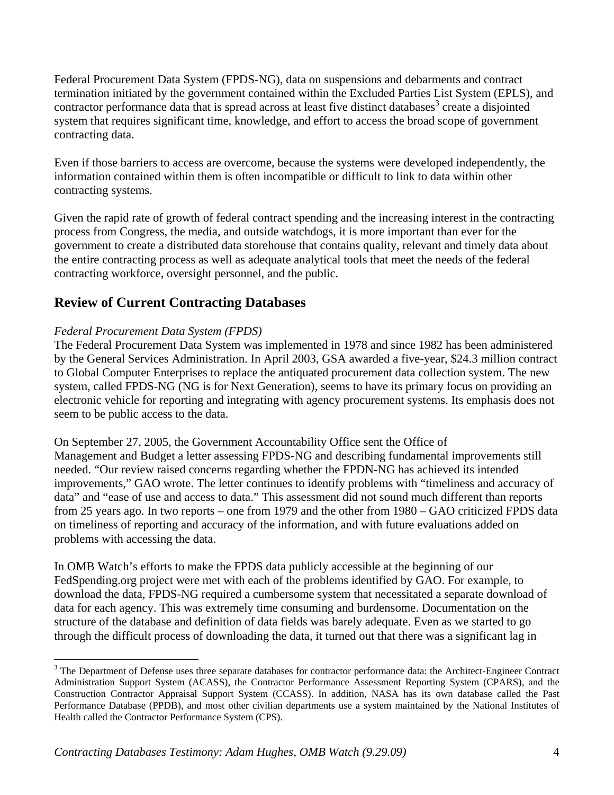Federal Procurement Data System (FPDS-NG), data on suspensions and debarments and contract termination initiated by the government contained within the Excluded Parties List System (EPLS), and contractor performance data that is spread across at least five distinct databases<sup>3</sup> create a disjointed system that requires significant time, knowledge, and effort to access the broad scope of government contracting data.

Even if those barriers to access are overcome, because the systems were developed independently, the information contained within them is often incompatible or difficult to link to data within other contracting systems.

Given the rapid rate of growth of federal contract spending and the increasing interest in the contracting process from Congress, the media, and outside watchdogs, it is more important than ever for the government to create a distributed data storehouse that contains quality, relevant and timely data about the entire contracting process as well as adequate analytical tools that meet the needs of the federal contracting workforce, oversight personnel, and the public.

# **Review of Current Contracting Databases**

### *Federal Procurement Data System (FPDS)*

 $\overline{a}$ 

The Federal Procurement Data System was implemented in 1978 and since 1982 has been administered by the General Services Administration. In April 2003, GSA awarded a five-year, \$24.3 million contract to Global Computer Enterprises to replace the antiquated procurement data collection system. The new system, called FPDS-NG (NG is for Next Generation), seems to have its primary focus on providing an electronic vehicle for reporting and integrating with agency procurement systems. Its emphasis does not seem to be public access to the data.

On September 27, 2005, the Government Accountability Office sent the Office of Management and Budget a letter assessing FPDS-NG and describing fundamental improvements still needed. "Our review raised concerns regarding whether the FPDN-NG has achieved its intended improvements," GAO wrote. The letter continues to identify problems with "timeliness and accuracy of data" and "ease of use and access to data." This assessment did not sound much different than reports from 25 years ago. In two reports – one from 1979 and the other from 1980 – GAO criticized FPDS data on timeliness of reporting and accuracy of the information, and with future evaluations added on problems with accessing the data.

In OMB Watch's efforts to make the FPDS data publicly accessible at the beginning of our FedSpending.org project were met with each of the problems identified by GAO. For example, to download the data, FPDS-NG required a cumbersome system that necessitated a separate download of data for each agency. This was extremely time consuming and burdensome. Documentation on the structure of the database and definition of data fields was barely adequate. Even as we started to go through the difficult process of downloading the data, it turned out that there was a significant lag in

<sup>&</sup>lt;sup>3</sup> The Department of Defense uses three separate databases for contractor performance data: the Architect-Engineer Contract Administration Support System (ACASS), the Contractor Performance Assessment Reporting System (CPARS), and the Construction Contractor Appraisal Support System (CCASS). In addition, NASA has its own database called the Past Performance Database (PPDB), and most other civilian departments use a system maintained by the National Institutes of Health called the Contractor Performance System (CPS).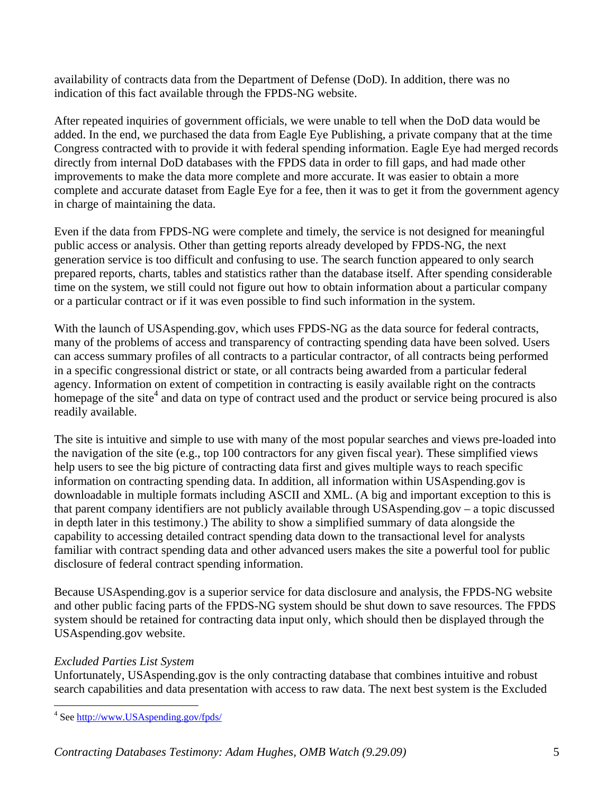availability of contracts data from the Department of Defense (DoD). In addition, there was no indication of this fact available through the FPDS-NG website.

After repeated inquiries of government officials, we were unable to tell when the DoD data would be added. In the end, we purchased the data from Eagle Eye Publishing, a private company that at the time Congress contracted with to provide it with federal spending information. Eagle Eye had merged records directly from internal DoD databases with the FPDS data in order to fill gaps, and had made other improvements to make the data more complete and more accurate. It was easier to obtain a more complete and accurate dataset from Eagle Eye for a fee, then it was to get it from the government agency in charge of maintaining the data.

Even if the data from FPDS-NG were complete and timely, the service is not designed for meaningful public access or analysis. Other than getting reports already developed by FPDS-NG, the next generation service is too difficult and confusing to use. The search function appeared to only search prepared reports, charts, tables and statistics rather than the database itself. After spending considerable time on the system, we still could not figure out how to obtain information about a particular company or a particular contract or if it was even possible to find such information in the system.

With the launch of USAspending.gov, which uses FPDS-NG as the data source for federal contracts, many of the problems of access and transparency of contracting spending data have been solved. Users can access summary profiles of all contracts to a particular contractor, of all contracts being performed in a specific congressional district or state, or all contracts being awarded from a particular federal agency. Information on extent of competition in contracting is easily available right on the contracts homepage of the site<sup>4</sup> and data on type of contract used and the product or service being procured is also readily available.

The site is intuitive and simple to use with many of the most popular searches and views pre-loaded into the navigation of the site (e.g., top 100 contractors for any given fiscal year). These simplified views help users to see the big picture of contracting data first and gives multiple ways to reach specific information on contracting spending data. In addition, all information within USAspending.gov is downloadable in multiple formats including ASCII and XML. (A big and important exception to this is that parent company identifiers are not publicly available through USAspending.gov – a topic discussed in depth later in this testimony.) The ability to show a simplified summary of data alongside the capability to accessing detailed contract spending data down to the transactional level for analysts familiar with contract spending data and other advanced users makes the site a powerful tool for public disclosure of federal contract spending information.

Because USAspending.gov is a superior service for data disclosure and analysis, the FPDS-NG website and other public facing parts of the FPDS-NG system should be shut down to save resources. The FPDS system should be retained for contracting data input only, which should then be displayed through the USAspending.gov website.

### *Excluded Parties List System*

Unfortunately, USAspending.gov is the only contracting database that combines intuitive and robust search capabilities and data presentation with access to raw data. The next best system is the Excluded

 4 See http://www.USAspending.gov/fpds/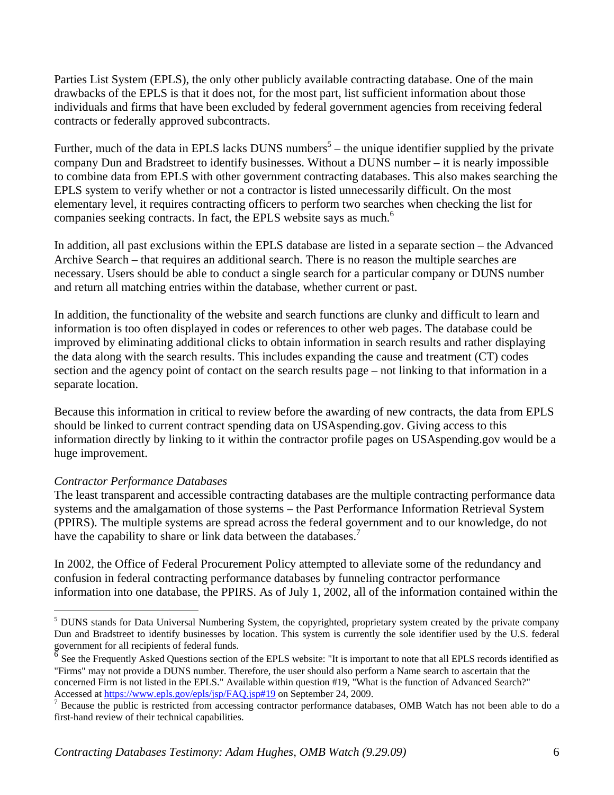Parties List System (EPLS), the only other publicly available contracting database. One of the main drawbacks of the EPLS is that it does not, for the most part, list sufficient information about those individuals and firms that have been excluded by federal government agencies from receiving federal contracts or federally approved subcontracts.

Further, much of the data in EPLS lacks DUNS numbers<sup>5</sup> – the unique identifier supplied by the private company Dun and Bradstreet to identify businesses. Without a DUNS number – it is nearly impossible to combine data from EPLS with other government contracting databases. This also makes searching the EPLS system to verify whether or not a contractor is listed unnecessarily difficult. On the most elementary level, it requires contracting officers to perform two searches when checking the list for companies seeking contracts. In fact, the EPLS website says as much.<sup>6</sup>

In addition, all past exclusions within the EPLS database are listed in a separate section – the Advanced Archive Search – that requires an additional search. There is no reason the multiple searches are necessary. Users should be able to conduct a single search for a particular company or DUNS number and return all matching entries within the database, whether current or past.

In addition, the functionality of the website and search functions are clunky and difficult to learn and information is too often displayed in codes or references to other web pages. The database could be improved by eliminating additional clicks to obtain information in search results and rather displaying the data along with the search results. This includes expanding the cause and treatment (CT) codes section and the agency point of contact on the search results page – not linking to that information in a separate location.

Because this information in critical to review before the awarding of new contracts, the data from EPLS should be linked to current contract spending data on USAspending.gov. Giving access to this information directly by linking to it within the contractor profile pages on USAspending.gov would be a huge improvement.

### *Contractor Performance Databases*

 $\overline{a}$ 

The least transparent and accessible contracting databases are the multiple contracting performance data systems and the amalgamation of those systems – the Past Performance Information Retrieval System (PPIRS). The multiple systems are spread across the federal government and to our knowledge, do not have the capability to share or link data between the databases.<sup>7</sup>

In 2002, the Office of Federal Procurement Policy attempted to alleviate some of the redundancy and confusion in federal contracting performance databases by funneling contractor performance information into one database, the PPIRS. As of July 1, 2002, all of the information contained within the

<sup>&</sup>lt;sup>5</sup> DUNS stands for Data Universal Numbering System, the copyrighted, proprietary system created by the private company Dun and Bradstreet to identify businesses by location. This system is currently the sole identifier used by the U.S. federal government for all recipients of federal funds.

<sup>6</sup> See the Frequently Asked Questions section of the EPLS website: "It is important to note that all EPLS records identified as "Firms" may not provide a DUNS number. Therefore, the user should also perform a Name search to ascertain that the concerned Firm is not listed in the EPLS." Available within question #19, "What is the function of Advanced Search?" Accessed at https://www.epls.gov/epls/jsp/FAQ.jsp#19 on September 24, 2009.

Because the public is restricted from accessing contractor performance databases, OMB Watch has not been able to do a first-hand review of their technical capabilities.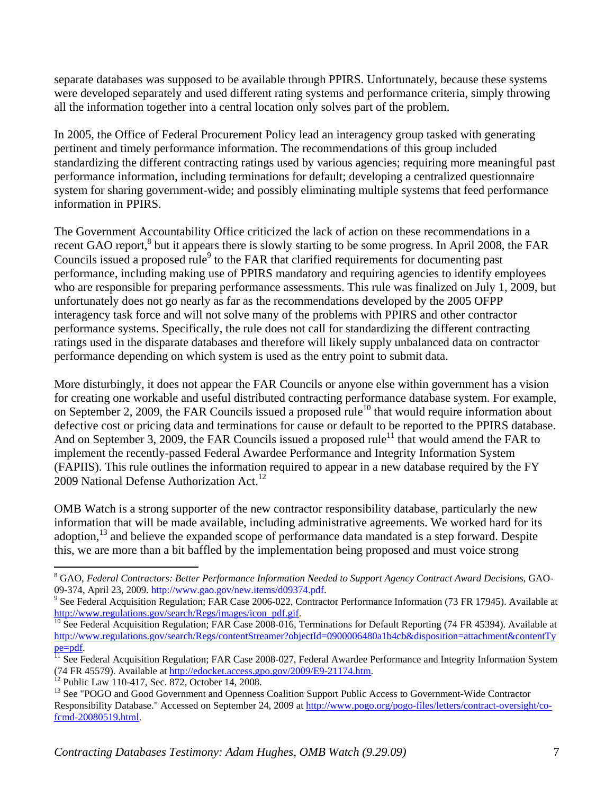separate databases was supposed to be available through PPIRS. Unfortunately, because these systems were developed separately and used different rating systems and performance criteria, simply throwing all the information together into a central location only solves part of the problem.

In 2005, the Office of Federal Procurement Policy lead an interagency group tasked with generating pertinent and timely performance information. The recommendations of this group included standardizing the different contracting ratings used by various agencies; requiring more meaningful past performance information, including terminations for default; developing a centralized questionnaire system for sharing government-wide; and possibly eliminating multiple systems that feed performance information in PPIRS.

The Government Accountability Office criticized the lack of action on these recommendations in a recent GAO report, ${}^{8}$  but it appears there is slowly starting to be some progress. In April 2008, the FAR Councils issued a proposed rule<sup>9</sup> to the FAR that clarified requirements for documenting past performance, including making use of PPIRS mandatory and requiring agencies to identify employees who are responsible for preparing performance assessments. This rule was finalized on July 1, 2009, but unfortunately does not go nearly as far as the recommendations developed by the 2005 OFPP interagency task force and will not solve many of the problems with PPIRS and other contractor performance systems. Specifically, the rule does not call for standardizing the different contracting ratings used in the disparate databases and therefore will likely supply unbalanced data on contractor performance depending on which system is used as the entry point to submit data.

More disturbingly, it does not appear the FAR Councils or anyone else within government has a vision for creating one workable and useful distributed contracting performance database system. For example, on September 2, 2009, the FAR Councils issued a proposed rule<sup>10</sup> that would require information about defective cost or pricing data and terminations for cause or default to be reported to the PPIRS database. And on September 3, 2009, the FAR Councils issued a proposed rule<sup>11</sup> that would amend the FAR to implement the recently-passed Federal Awardee Performance and Integrity Information System (FAPIIS). This rule outlines the information required to appear in a new database required by the FY 2009 National Defense Authorization Act.<sup>12</sup>

OMB Watch is a strong supporter of the new contractor responsibility database, particularly the new information that will be made available, including administrative agreements. We worked hard for its adoption,<sup>13</sup> and believe the expanded scope of performance data mandated is a step forward. Despite this, we are more than a bit baffled by the implementation being proposed and must voice strong

 $\overline{a}$ 

<sup>8</sup> GAO, *Federal Contractors: Better Performance Information Needed to Support Agency Contract Award Decisions*, GAO-09-374, April 23, 2009. http://www.gao.gov/new.items/d09374.pdf. 9

<sup>&</sup>lt;sup>9</sup> See Federal Acquisition Regulation; FAR Case 2006-022, Contractor Performance Information (73 FR 17945). Available at  $\frac{http://www.regularions.gov/search/Regs/images/icon.pdf. gift.$ 

 $\frac{10}{10}$  See Federal Acquisition Regulation; FAR Case 2008-016, Terminations for Default Reporting (74 FR 45394). Available at http://www.regulations.gov/search/Regs/contentStreamer?objectId=0900006480a1b4cb&disposition=attachment&contentTy pe=pdf.<br><sup>11</sup> See Federal Acquisition Regulation; FAR Case 2008-027, Federal Awardee Performance and Integrity Information System

<sup>(74</sup> FR 45579). Available at http://edocket.access.gpo.gov/2009/E9-21174.htm. 12 Public Law 110-417, Sec. 872, October 14, 2008.

<sup>&</sup>lt;sup>13</sup> See "POGO and Good Government and Openness Coalition Support Public Access to Government-Wide Contractor Responsibility Database." Accessed on September 24, 2009 at http://www.pogo.org/pogo-files/letters/contract-oversight/cofcmd-20080519.html.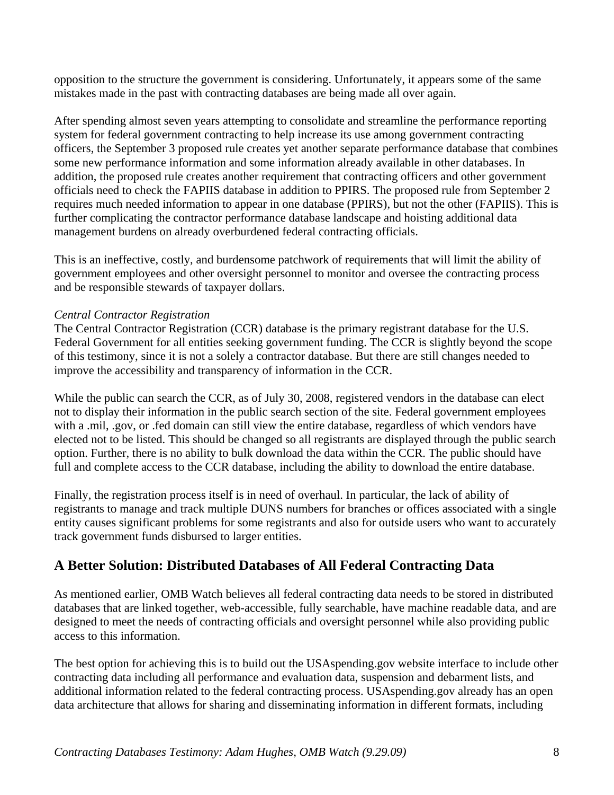opposition to the structure the government is considering. Unfortunately, it appears some of the same mistakes made in the past with contracting databases are being made all over again.

After spending almost seven years attempting to consolidate and streamline the performance reporting system for federal government contracting to help increase its use among government contracting officers, the September 3 proposed rule creates yet another separate performance database that combines some new performance information and some information already available in other databases. In addition, the proposed rule creates another requirement that contracting officers and other government officials need to check the FAPIIS database in addition to PPIRS. The proposed rule from September 2 requires much needed information to appear in one database (PPIRS), but not the other (FAPIIS). This is further complicating the contractor performance database landscape and hoisting additional data management burdens on already overburdened federal contracting officials.

This is an ineffective, costly, and burdensome patchwork of requirements that will limit the ability of government employees and other oversight personnel to monitor and oversee the contracting process and be responsible stewards of taxpayer dollars.

### *Central Contractor Registration*

The Central Contractor Registration (CCR) database is the primary registrant database for the U.S. Federal Government for all entities seeking government funding. The CCR is slightly beyond the scope of this testimony, since it is not a solely a contractor database. But there are still changes needed to improve the accessibility and transparency of information in the CCR.

While the public can search the CCR, as of July 30, 2008, registered vendors in the database can elect not to display their information in the public search section of the site. Federal government employees with a .mil, .gov, or .fed domain can still view the entire database, regardless of which vendors have elected not to be listed. This should be changed so all registrants are displayed through the public search option. Further, there is no ability to bulk download the data within the CCR. The public should have full and complete access to the CCR database, including the ability to download the entire database.

Finally, the registration process itself is in need of overhaul. In particular, the lack of ability of registrants to manage and track multiple DUNS numbers for branches or offices associated with a single entity causes significant problems for some registrants and also for outside users who want to accurately track government funds disbursed to larger entities.

## **A Better Solution: Distributed Databases of All Federal Contracting Data**

As mentioned earlier, OMB Watch believes all federal contracting data needs to be stored in distributed databases that are linked together, web-accessible, fully searchable, have machine readable data, and are designed to meet the needs of contracting officials and oversight personnel while also providing public access to this information.

The best option for achieving this is to build out the USAspending.gov website interface to include other contracting data including all performance and evaluation data, suspension and debarment lists, and additional information related to the federal contracting process. USAspending.gov already has an open data architecture that allows for sharing and disseminating information in different formats, including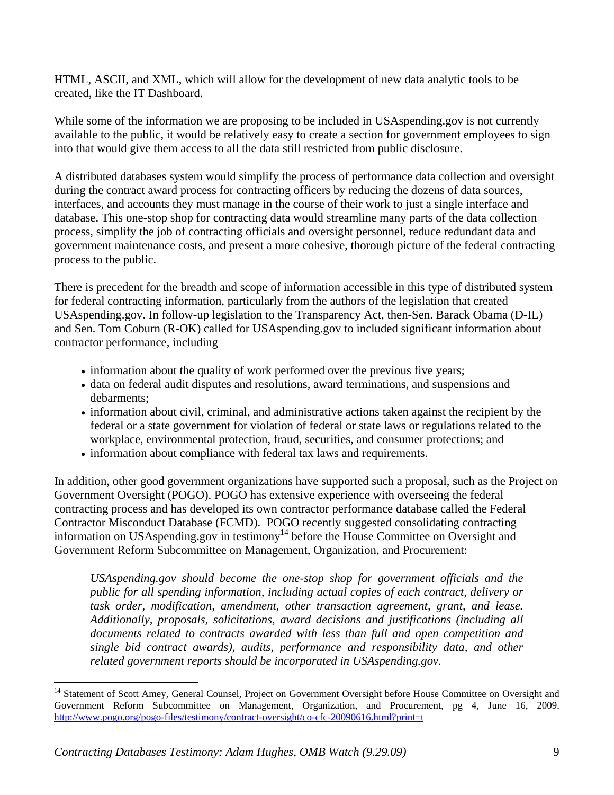HTML, ASCII, and XML, which will allow for the development of new data analytic tools to be created, like the IT Dashboard.

While some of the information we are proposing to be included in USAspending.gov is not currently available to the public, it would be relatively easy to create a section for government employees to sign into that would give them access to all the data still restricted from public disclosure.

A distributed databases system would simplify the process of performance data collection and oversight during the contract award process for contracting officers by reducing the dozens of data sources, interfaces, and accounts they must manage in the course of their work to just a single interface and database. This one-stop shop for contracting data would streamline many parts of the data collection process, simplify the job of contracting officials and oversight personnel, reduce redundant data and government maintenance costs, and present a more cohesive, thorough picture of the federal contracting process to the public.

There is precedent for the breadth and scope of information accessible in this type of distributed system for federal contracting information, particularly from the authors of the legislation that created USAspending.gov. In follow-up legislation to the Transparency Act, then-Sen. Barack Obama (D-IL) and Sen. Tom Coburn (R-OK) called for USAspending.gov to included significant information about contractor performance, including

- information about the quality of work performed over the previous five years;
- data on federal audit disputes and resolutions, award terminations, and suspensions and debarments;
- information about civil, criminal, and administrative actions taken against the recipient by the federal or a state government for violation of federal or state laws or regulations related to the workplace, environmental protection, fraud, securities, and consumer protections; and
- information about compliance with federal tax laws and requirements.

In addition, other good government organizations have supported such a proposal, such as the Project on Government Oversight (POGO). POGO has extensive experience with overseeing the federal contracting process and has developed its own contractor performance database called the Federal Contractor Misconduct Database (FCMD). POGO recently suggested consolidating contracting information on USAspending.gov in testimony<sup>14</sup> before the House Committee on Oversight and Government Reform Subcommittee on Management, Organization, and Procurement:

*USAspending.gov should become the one-stop shop for government officials and the public for all spending information, including actual copies of each contract, delivery or task order, modification, amendment, other transaction agreement, grant, and lease. Additionally, proposals, solicitations, award decisions and justifications (including all documents related to contracts awarded with less than full and open competition and single bid contract awards), audits, performance and responsibility data, and other related government reports should be incorporated in USAspending.gov.* 

 $\overline{a}$ <sup>14</sup> Statement of Scott Amey, General Counsel, Project on Government Oversight before House Committee on Oversight and Government Reform Subcommittee on Management, Organization, and Procurement, pg 4, June 16, 2009. http://www.pogo.org/pogo-files/testimony/contract-oversight/co-cfc-20090616.html?print=t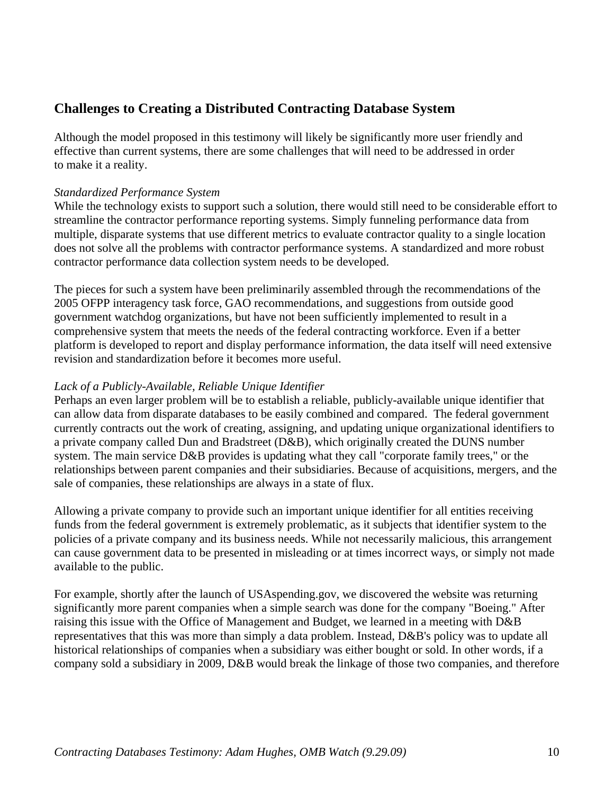## **Challenges to Creating a Distributed Contracting Database System**

Although the model proposed in this testimony will likely be significantly more user friendly and effective than current systems, there are some challenges that will need to be addressed in order to make it a reality.

### *Standardized Performance System*

While the technology exists to support such a solution, there would still need to be considerable effort to streamline the contractor performance reporting systems. Simply funneling performance data from multiple, disparate systems that use different metrics to evaluate contractor quality to a single location does not solve all the problems with contractor performance systems. A standardized and more robust contractor performance data collection system needs to be developed.

The pieces for such a system have been preliminarily assembled through the recommendations of the 2005 OFPP interagency task force, GAO recommendations, and suggestions from outside good government watchdog organizations, but have not been sufficiently implemented to result in a comprehensive system that meets the needs of the federal contracting workforce. Even if a better platform is developed to report and display performance information, the data itself will need extensive revision and standardization before it becomes more useful.

### *Lack of a Publicly-Available, Reliable Unique Identifier*

Perhaps an even larger problem will be to establish a reliable, publicly-available unique identifier that can allow data from disparate databases to be easily combined and compared. The federal government currently contracts out the work of creating, assigning, and updating unique organizational identifiers to a private company called Dun and Bradstreet (D&B), which originally created the DUNS number system. The main service D&B provides is updating what they call "corporate family trees," or the relationships between parent companies and their subsidiaries. Because of acquisitions, mergers, and the sale of companies, these relationships are always in a state of flux.

Allowing a private company to provide such an important unique identifier for all entities receiving funds from the federal government is extremely problematic, as it subjects that identifier system to the policies of a private company and its business needs. While not necessarily malicious, this arrangement can cause government data to be presented in misleading or at times incorrect ways, or simply not made available to the public.

For example, shortly after the launch of USAspending.gov, we discovered the website was returning significantly more parent companies when a simple search was done for the company "Boeing." After raising this issue with the Office of Management and Budget, we learned in a meeting with D&B representatives that this was more than simply a data problem. Instead, D&B's policy was to update all historical relationships of companies when a subsidiary was either bought or sold. In other words, if a company sold a subsidiary in 2009, D&B would break the linkage of those two companies, and therefore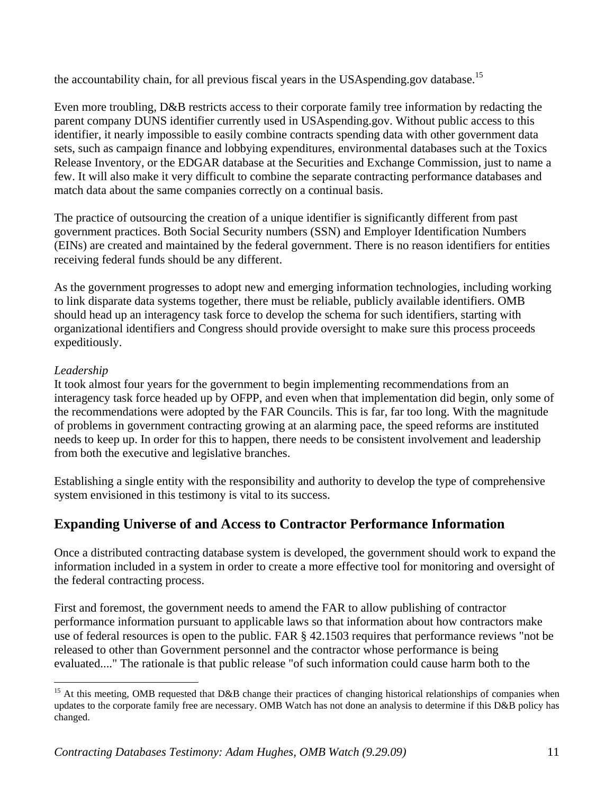the accountability chain, for all previous fiscal years in the USAspending.gov database.<sup>15</sup>

Even more troubling, D&B restricts access to their corporate family tree information by redacting the parent company DUNS identifier currently used in USAspending.gov. Without public access to this identifier, it nearly impossible to easily combine contracts spending data with other government data sets, such as campaign finance and lobbying expenditures, environmental databases such at the Toxics Release Inventory, or the EDGAR database at the Securities and Exchange Commission, just to name a few. It will also make it very difficult to combine the separate contracting performance databases and match data about the same companies correctly on a continual basis.

The practice of outsourcing the creation of a unique identifier is significantly different from past government practices. Both Social Security numbers (SSN) and Employer Identification Numbers (EINs) are created and maintained by the federal government. There is no reason identifiers for entities receiving federal funds should be any different.

As the government progresses to adopt new and emerging information technologies, including working to link disparate data systems together, there must be reliable, publicly available identifiers. OMB should head up an interagency task force to develop the schema for such identifiers, starting with organizational identifiers and Congress should provide oversight to make sure this process proceeds expeditiously.

### *Leadership*

1

It took almost four years for the government to begin implementing recommendations from an interagency task force headed up by OFPP, and even when that implementation did begin, only some of the recommendations were adopted by the FAR Councils. This is far, far too long. With the magnitude of problems in government contracting growing at an alarming pace, the speed reforms are instituted needs to keep up. In order for this to happen, there needs to be consistent involvement and leadership from both the executive and legislative branches.

Establishing a single entity with the responsibility and authority to develop the type of comprehensive system envisioned in this testimony is vital to its success.

# **Expanding Universe of and Access to Contractor Performance Information**

Once a distributed contracting database system is developed, the government should work to expand the information included in a system in order to create a more effective tool for monitoring and oversight of the federal contracting process.

First and foremost, the government needs to amend the FAR to allow publishing of contractor performance information pursuant to applicable laws so that information about how contractors make use of federal resources is open to the public. FAR § 42.1503 requires that performance reviews "not be released to other than Government personnel and the contractor whose performance is being evaluated...." The rationale is that public release "of such information could cause harm both to the

<sup>&</sup>lt;sup>15</sup> At this meeting, OMB requested that D&B change their practices of changing historical relationships of companies when updates to the corporate family free are necessary. OMB Watch has not done an analysis to determine if this D&B policy has changed.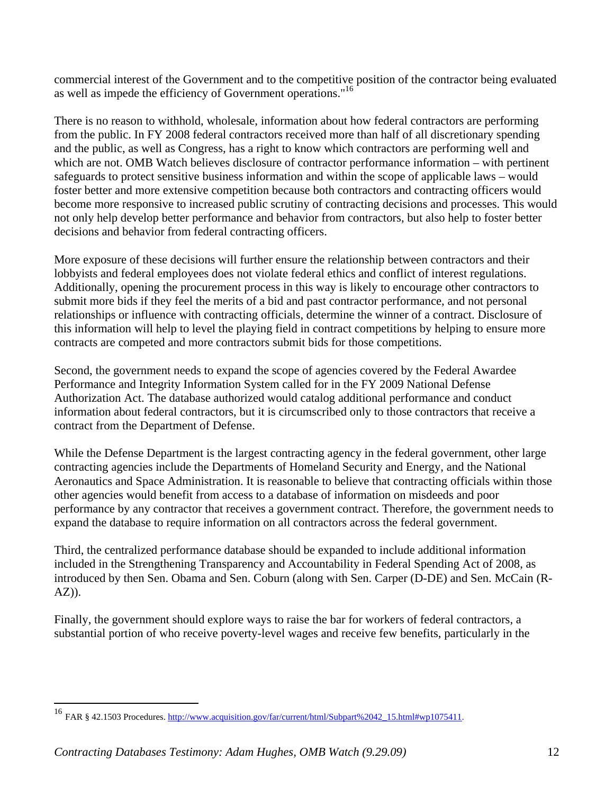commercial interest of the Government and to the competitive position of the contractor being evaluated as well as impede the efficiency of Government operations."16

There is no reason to withhold, wholesale, information about how federal contractors are performing from the public. In FY 2008 federal contractors received more than half of all discretionary spending and the public, as well as Congress, has a right to know which contractors are performing well and which are not. OMB Watch believes disclosure of contractor performance information – with pertinent safeguards to protect sensitive business information and within the scope of applicable laws – would foster better and more extensive competition because both contractors and contracting officers would become more responsive to increased public scrutiny of contracting decisions and processes. This would not only help develop better performance and behavior from contractors, but also help to foster better decisions and behavior from federal contracting officers.

More exposure of these decisions will further ensure the relationship between contractors and their lobbyists and federal employees does not violate federal ethics and conflict of interest regulations. Additionally, opening the procurement process in this way is likely to encourage other contractors to submit more bids if they feel the merits of a bid and past contractor performance, and not personal relationships or influence with contracting officials, determine the winner of a contract. Disclosure of this information will help to level the playing field in contract competitions by helping to ensure more contracts are competed and more contractors submit bids for those competitions.

Second, the government needs to expand the scope of agencies covered by the Federal Awardee Performance and Integrity Information System called for in the FY 2009 National Defense Authorization Act. The database authorized would catalog additional performance and conduct information about federal contractors, but it is circumscribed only to those contractors that receive a contract from the Department of Defense.

While the Defense Department is the largest contracting agency in the federal government, other large contracting agencies include the Departments of Homeland Security and Energy, and the National Aeronautics and Space Administration. It is reasonable to believe that contracting officials within those other agencies would benefit from access to a database of information on misdeeds and poor performance by any contractor that receives a government contract. Therefore, the government needs to expand the database to require information on all contractors across the federal government.

Third, the centralized performance database should be expanded to include additional information included in the Strengthening Transparency and Accountability in Federal Spending Act of 2008, as introduced by then Sen. Obama and Sen. Coburn (along with Sen. Carper (D-DE) and Sen. McCain (R-AZ)).

Finally, the government should explore ways to raise the bar for workers of federal contractors, a substantial portion of who receive poverty-level wages and receive few benefits, particularly in the

 $\overline{a}$ 

<sup>&</sup>lt;sup>16</sup> FAR § 42.1503 Procedures. http://www.acquisition.gov/far/current/html/Subpart%2042\_15.html#wp1075411.